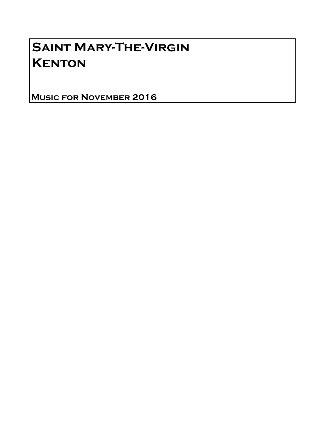# Saint Mary-The-Virgin **KENTON**

Music for November 2016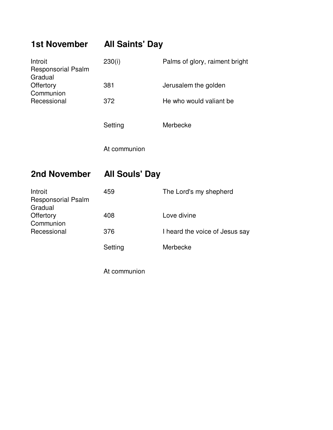## **1st November All Saints' Day**

| Introit<br><b>Responsorial Psalm</b><br>Gradual | 230(i)  | Palms of glory, raiment bright |
|-------------------------------------------------|---------|--------------------------------|
| Offertory<br>Communion                          | 381     | Jerusalem the golden           |
| Recessional                                     | 372     | He who would valiant be        |
|                                                 | Setting | Merbecke                       |

At communion

### **2nd November All Souls' Day**

| Introit                              | 459     | The Lord's my shepherd         |
|--------------------------------------|---------|--------------------------------|
| <b>Responsorial Psalm</b><br>Gradual |         |                                |
| Offertory                            | 408     | Love divine                    |
| Communion                            |         |                                |
| Recessional                          | 376     | I heard the voice of Jesus say |
|                                      | Setting | Merbecke                       |

At communion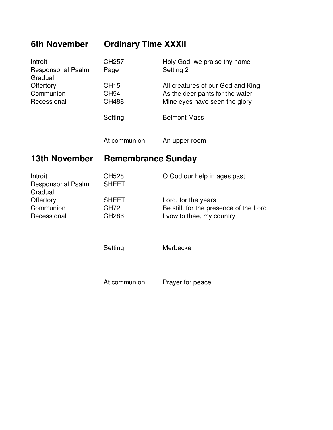### **6th November Ordinary Time XXXII**

| Introit<br><b>Responsorial Psalm</b><br>Gradual | CH <sub>257</sub><br>Page                   | Holy God, we praise thy name<br>Setting 2                                                             |
|-------------------------------------------------|---------------------------------------------|-------------------------------------------------------------------------------------------------------|
| Offertory<br>Communion<br>Recessional           | <b>CH15</b><br><b>CH54</b><br><b>CH488</b>  | All creatures of our God and King<br>As the deer pants for the water<br>Mine eyes have seen the glory |
|                                                 | Setting                                     | <b>Belmont Mass</b>                                                                                   |
|                                                 | At communion                                | An upper room                                                                                         |
| <b>13th November</b>                            | <b>Remembrance Sunday</b>                   |                                                                                                       |
| Introit<br><b>Responsorial Psalm</b><br>Gradual | <b>CH528</b><br><b>SHEET</b>                | O God our help in ages past                                                                           |
| Offertory<br>Communion<br>Recessional           | <b>SHEET</b><br><b>CH72</b><br><b>CH286</b> | Lord, for the years<br>Be still, for the presence of the Lord<br>I vow to thee, my country            |
|                                                 | Setting                                     | Merbecke                                                                                              |
|                                                 | At communion                                | Prayer for peace                                                                                      |